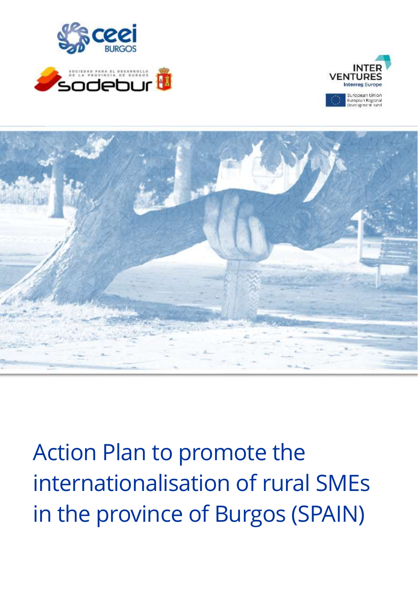







Action Plan to promote the internationalisation of rural SMEs in the province of Burgos (SPAIN)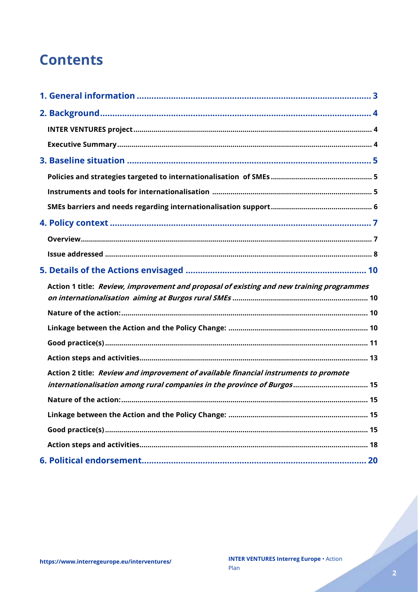## **Contents**

| Action 1 title: Review, improvement and proposal of existing and new training programmes |  |
|------------------------------------------------------------------------------------------|--|
|                                                                                          |  |
|                                                                                          |  |
|                                                                                          |  |
|                                                                                          |  |
|                                                                                          |  |
|                                                                                          |  |
| Action 2 title: Review and improvement of available financial instruments to promote     |  |
|                                                                                          |  |
|                                                                                          |  |
|                                                                                          |  |
|                                                                                          |  |
|                                                                                          |  |

Charles of the Charles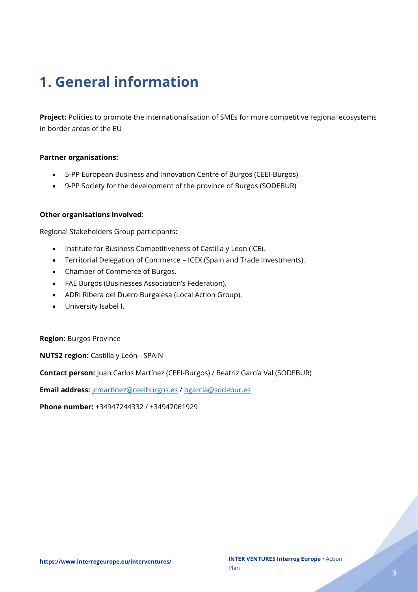# <span id="page-2-0"></span>**1. General information**

**Project:** Policies to promote the internationalisation of SMEs for more competitive regional ecosystems in border areas of the EU

#### **Partner organisations:**

- 5-PP European Business and Innovation Centre of Burgos (CEEI-Burgos)
- 9-PP Society for the development of the province of Burgos (SODEBUR)

#### **Other organisations involved:**

Regional Stakeholders Group participants:

- Institute for Business Competitiveness of Castilla y Leon (ICE).
- Territorial Delegation of Commerce ICEX (Spain and Trade Investments).
- Chamber of Commerce of Burgos.
- FAE Burgos (Businesses Association's Federation).
- ADRI Ribera del Duero Burgalesa (Local Action Group).
- University Isabel I.

**Region:** Burgos Province

**NUTS2 region:** Castilla y León - SPAIN

**Contact person:** Juan Carlos Martínez (CEEI-Burgos) / Beatriz García Val (SODEBUR)

**Email address:** [jcmartinez@ceeiburgos.es](mailto:jcmartinez@ceeiburgos.es) / [bgarcia@sodebur.es](mailto:bgarcia@sodebur.es)

**Phone number:** +34947244332 / +34947061929

er (d. 1917).<br>Fødsler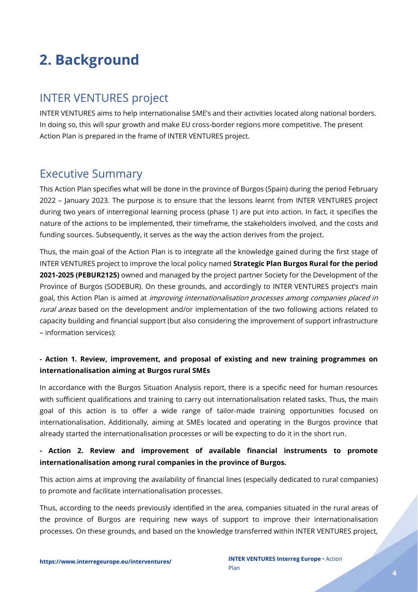# <span id="page-3-0"></span>**2. Background**

## <span id="page-3-1"></span>INTER VENTURES project

INTER VENTURES aims to help internationalise SME's and their activities located along national borders. In doing so, this will spur growth and make EU cross-border regions more competitive. The present Action Plan is prepared in the frame of INTER VENTURES project.

### <span id="page-3-2"></span>Executive Summary

This Action Plan specifies what will be done in the province of Burgos (Spain) during the period February 2022 – January 2023. The purpose is to ensure that the lessons learnt from INTER VENTURES project during two years of interregional learning process (phase 1) are put into action. In fact, it specifies the nature of the actions to be implemented, their timeframe, the stakeholders involved, and the costs and funding sources. Subsequently, it serves as the way the action derives from the project.

Thus, the main goal of the Action Plan is to integrate all the knowledge gained during the first stage of INTER VENTURES project to improve the local policy named **Strategic Plan Burgos Rural for the period 2021-2025 (PEBUR2125)** owned and managed by the project partner Society for the Development of the Province of Burgos (SODEBUR). On these grounds, and accordingly to INTER VENTURES project's main goal, this Action Plan is aimed at *improving internationalisation processes among companies placed in* rural areas based on the development and/or implementation of the two following actions related to capacity building and financial support (but also considering the improvement of support infrastructure – information services):

### **- Action 1. Review, improvement, and proposal of existing and new training programmes on internationalisation aiming at Burgos rural SMEs**

In accordance with the Burgos Situation Analysis report, there is a specific need for human resources with sufficient qualifications and training to carry out internationalisation related tasks. Thus, the main goal of this action is to offer a wide range of tailor-made training opportunities focused on internationalisation. Additionally, aiming at SMEs located and operating in the Burgos province that already started the internationalisation processes or will be expecting to do it in the short run.

### **- Action 2. Review and improvement of available financial instruments to promote internationalisation among rural companies in the province of Burgos.**

This action aims at improving the availability of financial lines (especially dedicated to rural companies) to promote and facilitate internationalisation processes.

Thus, according to the needs previously identified in the area, companies situated in the rural areas of the province of Burgos are requiring new ways of support to improve their internationalisation processes. On these grounds, and based on the knowledge transferred within INTER VENTURES project,

e de la partida de la caracció de la caracció de la caracció de la caracció de la caracció de la caracció de l<br>La caracció de la caracció de la caracció de la caracció de la caracció de la caracció de la caracció de la ca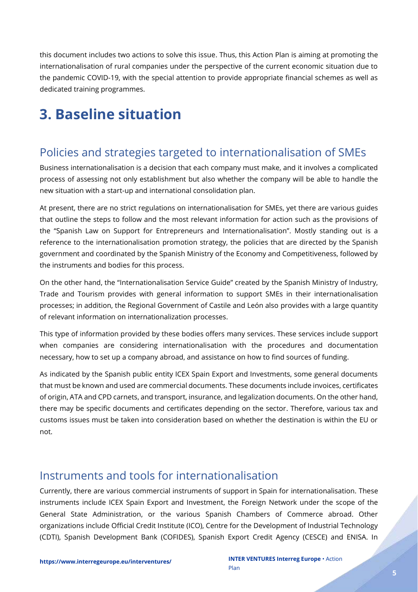this document includes two actions to solve this issue. Thus, this Action Plan is aiming at promoting the internationalisation of rural companies under the perspective of the current economic situation due to the pandemic COVID-19, with the special attention to provide appropriate financial schemes as well as dedicated training programmes.

## <span id="page-4-0"></span>**3. Baseline situation**

## <span id="page-4-1"></span>Policies and strategies targeted to internationalisation of SMEs

Business internationalisation is a decision that each company must make, and it involves a complicated process of assessing not only establishment but also whether the company will be able to handle the new situation with a start-up and international consolidation plan.

At present, there are no strict regulations on internationalisation for SMEs, yet there are various guides that outline the steps to follow and the most relevant information for action such as the provisions of the "Spanish Law on Support for Entrepreneurs and Internationalisation". Mostly standing out is a reference to the internationalisation promotion strategy, the policies that are directed by the Spanish government and coordinated by the Spanish Ministry of the Economy and Competitiveness, followed by the instruments and bodies for this process.

On the other hand, the "Internationalisation Service Guide" created by the Spanish Ministry of Industry, Trade and Tourism provides with general information to support SMEs in their internationalisation processes; in addition, the Regional Government of Castile and León also provides with a large quantity of relevant information on internationalization processes.

This type of information provided by these bodies offers many services. These services include support when companies are considering internationalisation with the procedures and documentation necessary, how to set up a company abroad, and assistance on how to find sources of funding.

As indicated by the Spanish public entity ICEX Spain Export and Investments, some general documents that must be known and used are commercial documents. These documents include invoices, certificates of origin, ATA and CPD carnets, and transport, insurance, and legalization documents. On the other hand, there may be specific documents and certificates depending on the sector. Therefore, various tax and customs issues must be taken into consideration based on whether the destination is within the EU or not.

### <span id="page-4-2"></span>Instruments and tools for internationalisation

Currently, there are various commercial instruments of support in Spain for internationalisation. These instruments include ICEX Spain Export and Investment, the Foreign Network under the scope of the General State Administration, or the various Spanish Chambers of Commerce abroad. Other organizations include Official Credit Institute (ICO), Centre for the Development of Industrial Technology (CDTI), Spanish Development Bank (COFIDES), Spanish Export Credit Agency (CESCE) and ENISA. In

e de la família de la família de la família de la família de la família de la família de la família de la famí<br>La família de la família de la família de la família de la família de la família de la família de la família d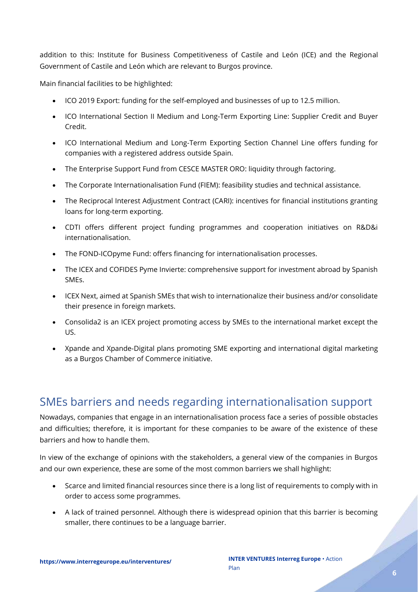addition to this: Institute for Business Competitiveness of Castile and León (ICE) and the Regional Government of Castile and León which are relevant to Burgos province.

Main financial facilities to be highlighted:

- ICO 2019 Export: funding for the self-employed and businesses of up to 12.5 million.
- ICO International Section II Medium and Long-Term Exporting Line: Supplier Credit and Buyer Credit.
- ICO International Medium and Long-Term Exporting Section Channel Line offers funding for companies with a registered address outside Spain.
- The Enterprise Support Fund from CESCE MASTER ORO: liquidity through factoring.
- The Corporate Internationalisation Fund (FIEM): feasibility studies and technical assistance.
- The Reciprocal Interest Adjustment Contract (CARI): incentives for financial institutions granting loans for long-term exporting.
- CDTI offers different project funding programmes and cooperation initiatives on R&D&i internationalisation.
- The FOND-ICOpyme Fund: offers financing for internationalisation processes.
- The ICEX and COFIDES Pyme Invierte: comprehensive support for investment abroad by Spanish SMEs.
- ICEX Next, aimed at Spanish SMEs that wish to internationalize their business and/or consolidate their presence in foreign markets.
- Consolida2 is an ICEX project promoting access by SMEs to the international market except the US.
- Xpande and Xpande-Digital plans promoting SME exporting and international digital marketing as a Burgos Chamber of Commerce initiative.

## <span id="page-5-0"></span>SMEs barriers and needs regarding internationalisation support

Nowadays, companies that engage in an internationalisation process face a series of possible obstacles and difficulties; therefore, it is important for these companies to be aware of the existence of these barriers and how to handle them.

In view of the exchange of opinions with the stakeholders, a general view of the companies in Burgos and our own experience, these are some of the most common barriers we shall highlight:

- Scarce and limited financial resources since there is a long list of requirements to comply with in order to access some programmes.
- A lack of trained personnel. Although there is widespread opinion that this barrier is becoming smaller, there continues to be a language barrier.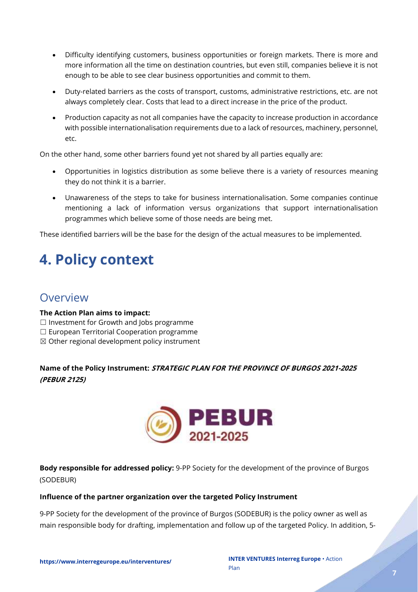- Difficulty identifying customers, business opportunities or foreign markets. There is more and more information all the time on destination countries, but even still, companies believe it is not enough to be able to see clear business opportunities and commit to them.
- Duty-related barriers as the costs of transport, customs, administrative restrictions, etc. are not always completely clear. Costs that lead to a direct increase in the price of the product.
- Production capacity as not all companies have the capacity to increase production in accordance with possible internationalisation requirements due to a lack of resources, machinery, personnel, etc.

On the other hand, some other barriers found yet not shared by all parties equally are:

- Opportunities in logistics distribution as some believe there is a variety of resources meaning they do not think it is a barrier.
- Unawareness of the steps to take for business internationalisation. Some companies continue mentioning a lack of information versus organizations that support internationalisation programmes which believe some of those needs are being met.

These identified barriers will be the base for the design of the actual measures to be implemented.

# <span id="page-6-0"></span>**4. Policy context**

### <span id="page-6-1"></span>Overview

### **The Action Plan aims to impact:**

- ☐ Investment for Growth and Jobs programme
- ☐ European Territorial Cooperation programme
- ☒ Other regional development policy instrument

**Name of the Policy Instrument: STRATEGIC PLAN FOR THE PROVINCE OF BURGOS 2021-2025 (PEBUR 2125)**



**Body responsible for addressed policy:** 9-PP Society for the development of the province of Burgos (SODEBUR)

### **Influence of the partner organization over the targeted Policy Instrument**

9-PP Society for the development of the province of Burgos (SODEBUR) is the policy owner as well as main responsible body for drafting, implementation and follow up of the targeted Policy. In addition, 5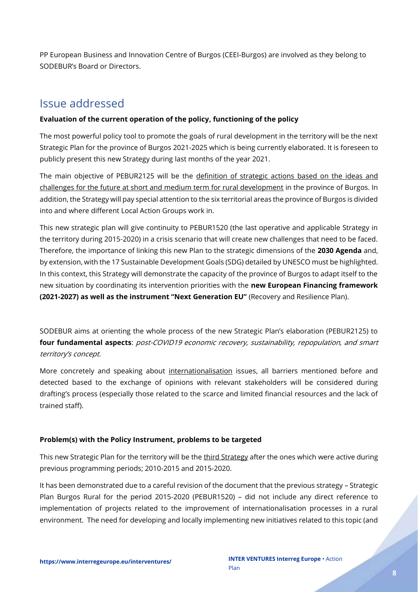PP European Business and Innovation Centre of Burgos (CEEI-Burgos) are involved as they belong to SODEBUR's Board or Directors.

### <span id="page-7-0"></span>Issue addressed

### **Evaluation of the current operation of the policy, functioning of the policy**

The most powerful policy tool to promote the goals of rural development in the territory will be the next Strategic Plan for the province of Burgos 2021-2025 which is being currently elaborated. It is foreseen to publicly present this new Strategy during last months of the year 2021.

The main objective of PEBUR2125 will be the definition of strategic actions based on the ideas and challenges for the future at short and medium term for rural development in the province of Burgos. In addition, the Strategy will pay special attention to the six territorial areas the province of Burgos is divided into and where different Local Action Groups work in.

This new strategic plan will give continuity to PEBUR1520 (the last operative and applicable Strategy in the territory during 2015-2020) in a crisis scenario that will create new challenges that need to be faced. Therefore, the importance of linking this new Plan to the strategic dimensions of the **2030 Agenda** and, by extension, with the 17 Sustainable Development Goals (SDG) detailed by UNESCO must be highlighted. In this context, this Strategy will demonstrate the capacity of the province of Burgos to adapt itself to the new situation by coordinating its intervention priorities with the **new European Financing framework (2021-2027) as well as the instrument "Next Generation EU"** (Recovery and Resilience Plan).

SODEBUR aims at orienting the whole process of the new Strategic Plan's elaboration (PEBUR2125) to **four fundamental aspects**: post-COVID19 economic recovery, sustainability, repopulation, and smart territory's concept.

More concretely and speaking about internationalisation issues, all barriers mentioned before and detected based to the exchange of opinions with relevant stakeholders will be considered during drafting's process (especially those related to the scarce and limited financial resources and the lack of trained staff).

### **Problem(s) with the Policy Instrument, problems to be targeted**

This new Strategic Plan for the territory will be the third Strategy after the ones which were active during previous programming periods; 2010-2015 and 2015-2020.

It has been demonstrated due to a careful revision of the document that the previous strategy – Strategic Plan Burgos Rural for the period 2015-2020 (PEBUR1520) – did not include any direct reference to implementation of projects related to the improvement of internationalisation processes in a rural environment. The need for developing and locally implementing new initiatives related to this topic (and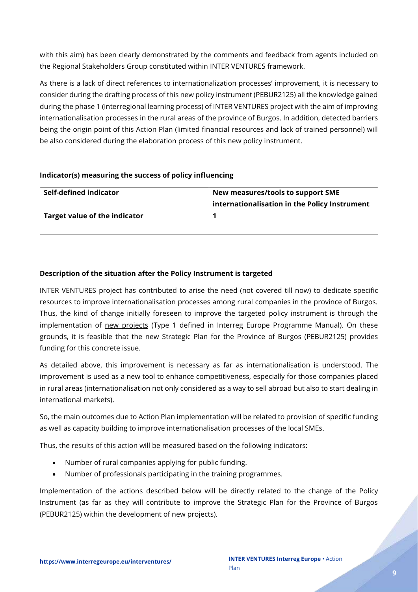with this aim) has been clearly demonstrated by the comments and feedback from agents included on the Regional Stakeholders Group constituted within INTER VENTURES framework.

As there is a lack of direct references to internationalization processes' improvement, it is necessary to consider during the drafting process of this new policy instrument (PEBUR2125) all the knowledge gained during the phase 1 (interregional learning process) of INTER VENTURES project with the aim of improving internationalisation processes in the rural areas of the province of Burgos. In addition, detected barriers being the origin point of this Action Plan (limited financial resources and lack of trained personnel) will be also considered during the elaboration process of this new policy instrument.

### **Indicator(s) measuring the success of policy influencing**

| Self-defined indicator        | New measures/tools to support SME<br>internationalisation in the Policy Instrument |  |
|-------------------------------|------------------------------------------------------------------------------------|--|
| Target value of the indicator |                                                                                    |  |

### **Description of the situation after the Policy Instrument is targeted**

INTER VENTURES project has contributed to arise the need (not covered till now) to dedicate specific resources to improve internationalisation processes among rural companies in the province of Burgos. Thus, the kind of change initially foreseen to improve the targeted policy instrument is through the implementation of new projects (Type 1 defined in Interreg Europe Programme Manual). On these grounds, it is feasible that the new Strategic Plan for the Province of Burgos (PEBUR2125) provides funding for this concrete issue.

As detailed above, this improvement is necessary as far as internationalisation is understood. The improvement is used as a new tool to enhance competitiveness, especially for those companies placed in rural areas (internationalisation not only considered as a way to sell abroad but also to start dealing in international markets).

So, the main outcomes due to Action Plan implementation will be related to provision of specific funding as well as capacity building to improve internationalisation processes of the local SMEs.

Thus, the results of this action will be measured based on the following indicators:

- Number of rural companies applying for public funding.
- Number of professionals participating in the training programmes.

Implementation of the actions described below will be directly related to the change of the Policy Instrument (as far as they will contribute to improve the Strategic Plan for the Province of Burgos (PEBUR2125) within the development of new projects).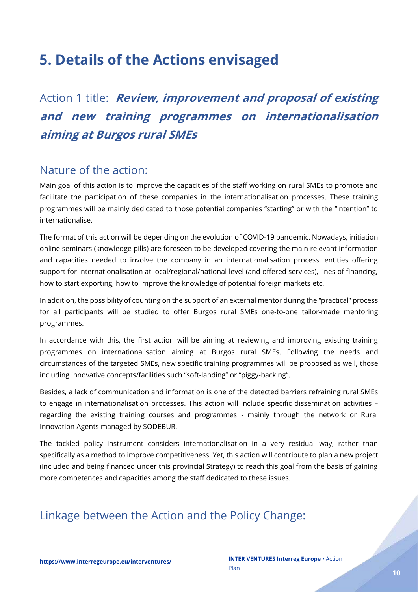## <span id="page-9-0"></span>**5. Details of the Actions envisaged**

<span id="page-9-1"></span>Action 1 title: **Review, improvement and proposal of existing and new training programmes on internationalisation aiming at Burgos rural SMEs**

### <span id="page-9-2"></span>Nature of the action:

Main goal of this action is to improve the capacities of the staff working on rural SMEs to promote and facilitate the participation of these companies in the internationalisation processes. These training programmes will be mainly dedicated to those potential companies "starting" or with the "intention" to internationalise.

The format of this action will be depending on the evolution of COVID-19 pandemic. Nowadays, initiation online seminars (knowledge pills) are foreseen to be developed covering the main relevant information and capacities needed to involve the company in an internationalisation process: entities offering support for internationalisation at local/regional/national level (and offered services), lines of financing, how to start exporting, how to improve the knowledge of potential foreign markets etc.

In addition, the possibility of counting on the support of an external mentor during the "practical" process for all participants will be studied to offer Burgos rural SMEs one-to-one tailor-made mentoring programmes.

In accordance with this, the first action will be aiming at reviewing and improving existing training programmes on internationalisation aiming at Burgos rural SMEs. Following the needs and circumstances of the targeted SMEs, new specific training programmes will be proposed as well, those including innovative concepts/facilities such "soft-landing" or "piggy-backing".

Besides, a lack of communication and information is one of the detected barriers refraining rural SMEs to engage in internationalisation processes. This action will include specific dissemination activities – regarding the existing training courses and programmes - mainly through the network or Rural Innovation Agents managed by SODEBUR.

The tackled policy instrument considers internationalisation in a very residual way, rather than specifically as a method to improve competitiveness. Yet, this action will contribute to plan a new project (included and being financed under this provincial Strategy) to reach this goal from the basis of gaining more competences and capacities among the staff dedicated to these issues.

## <span id="page-9-3"></span>Linkage between the Action and the Policy Change: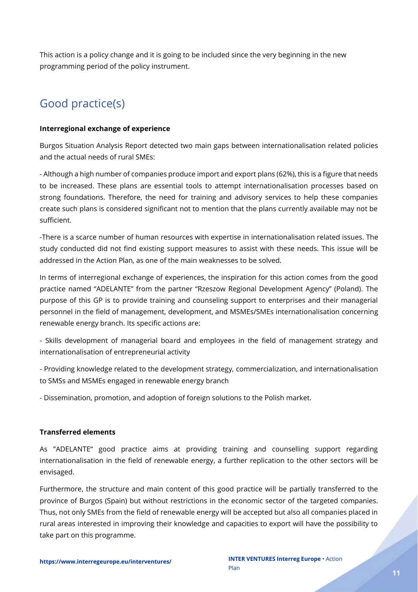This action is a policy change and it is going to be included since the very beginning in the new programming period of the policy instrument.

## <span id="page-10-0"></span>Good practice(s)

#### **Interregional exchange of experience**

Burgos Situation Analysis Report detected two main gaps between internationalisation related policies and the actual needs of rural SMEs:

- Although a high number of companies produce import and export plans (62%), this is a figure that needs to be increased. These plans are essential tools to attempt internationalisation processes based on strong foundations. Therefore, the need for training and advisory services to help these companies create such plans is considered significant not to mention that the plans currently available may not be sufficient.

-There is a scarce number of human resources with expertise in internationalisation related issues. The study conducted did not find existing support measures to assist with these needs. This issue will be addressed in the Action Plan, as one of the main weaknesses to be solved.

In terms of interregional exchange of experiences, the inspiration for this action comes from the good practice named "ADELANTE" from the partner "Rzeszow Regional Development Agency" (Poland). The purpose of this GP is to provide training and counseling support to enterprises and their managerial personnel in the field of management, development, and MSMEs/SMEs internationalisation concerning renewable energy branch. Its specific actions are:

- Skills development of managerial board and employees in the field of management strategy and internationalisation of entrepreneurial activity

- Providing knowledge related to the development strategy, commercialization, and internationalisation to SMSs and MSMEs engaged in renewable energy branch

- Dissemination, promotion, and adoption of foreign solutions to the Polish market.

### **Transferred elements**

As "ADELANTE" good practice aims at providing training and counselling support regarding internationalisation in the field of renewable energy, a further replication to the other sectors will be envisaged.

Furthermore, the structure and main content of this good practice will be partially transferred to the province of Burgos (Spain) but without restrictions in the economic sector of the targeted companies. Thus, not only SMEs from the field of renewable energy will be accepted but also all companies placed in rural areas interested in improving their knowledge and capacities to export will have the possibility to take part on this programme.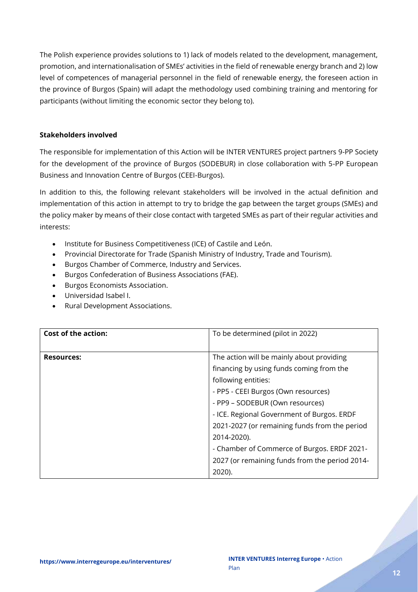The Polish experience provides solutions to 1) lack of models related to the development, management, promotion, and internationalisation of SMEs' activities in the field of renewable energy branch and 2) low level of competences of managerial personnel in the field of renewable energy, the foreseen action in the province of Burgos (Spain) will adapt the methodology used combining training and mentoring for participants (without limiting the economic sector they belong to).

### **Stakeholders involved**

The responsible for implementation of this Action will be INTER VENTURES project partners 9-PP Society for the development of the province of Burgos (SODEBUR) in close collaboration with 5-PP European Business and Innovation Centre of Burgos (CEEI-Burgos).

In addition to this, the following relevant stakeholders will be involved in the actual definition and implementation of this action in attempt to try to bridge the gap between the target groups (SMEs) and the policy maker by means of their close contact with targeted SMEs as part of their regular activities and interests:

- Institute for Business Competitiveness (ICE) of Castile and León.
- Provincial Directorate for Trade (Spanish Ministry of Industry, Trade and Tourism).
- Burgos Chamber of Commerce, Industry and Services.
- Burgos Confederation of Business Associations (FAE).
- Burgos Economists Association.
- Universidad Isabel I.
- Rural Development Associations.

| <b>Cost of the action:</b> | To be determined (pilot in 2022)               |  |
|----------------------------|------------------------------------------------|--|
|                            |                                                |  |
| <b>Resources:</b>          | The action will be mainly about providing      |  |
|                            | financing by using funds coming from the       |  |
|                            | following entities:                            |  |
|                            | - PP5 - CEEI Burgos (Own resources)            |  |
|                            | - PP9 - SODEBUR (Own resources)                |  |
|                            | - ICE. Regional Government of Burgos. ERDF     |  |
|                            | 2021-2027 (or remaining funds from the period  |  |
|                            | 2014-2020).                                    |  |
|                            | - Chamber of Commerce of Burgos. ERDF 2021-    |  |
|                            | 2027 (or remaining funds from the period 2014- |  |
|                            | 2020).                                         |  |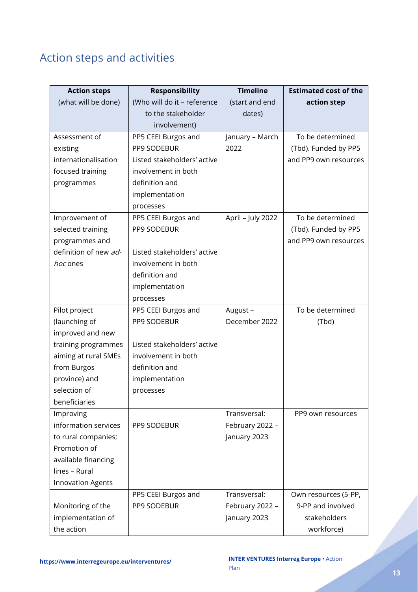## <span id="page-12-0"></span>Action steps and activities

| <b>Action steps</b>      | <b>Responsibility</b>       | <b>Timeline</b>   | <b>Estimated cost of the</b> |
|--------------------------|-----------------------------|-------------------|------------------------------|
| (what will be done)      | (Who will do it - reference | (start and end    | action step                  |
|                          | to the stakeholder          | dates)            |                              |
|                          | involvement)                |                   |                              |
| Assessment of            | PP5 CEEI Burgos and         | January - March   | To be determined             |
| existing                 | PP9 SODEBUR                 | 2022              | (Tbd). Funded by PP5         |
| internationalisation     | Listed stakeholders' active |                   | and PP9 own resources        |
| focused training         | involvement in both         |                   |                              |
| programmes               | definition and              |                   |                              |
|                          | implementation              |                   |                              |
|                          | processes                   |                   |                              |
| Improvement of           | PP5 CEEI Burgos and         | April - July 2022 | To be determined             |
| selected training        | PP9 SODEBUR                 |                   | (Tbd). Funded by PP5         |
| programmes and           |                             |                   | and PP9 own resources        |
| definition of new ad-    | Listed stakeholders' active |                   |                              |
| hoc ones                 | involvement in both         |                   |                              |
|                          | definition and              |                   |                              |
|                          | implementation              |                   |                              |
|                          | processes                   |                   |                              |
| Pilot project            | PP5 CEEI Burgos and         | August-           | To be determined             |
| (launching of            | PP9 SODEBUR                 | December 2022     | (Tbd)                        |
| improved and new         |                             |                   |                              |
| training programmes      | Listed stakeholders' active |                   |                              |
| aiming at rural SMEs     | involvement in both         |                   |                              |
| from Burgos              | definition and              |                   |                              |
| province) and            | implementation              |                   |                              |
| selection of             | processes                   |                   |                              |
| beneficiaries            |                             |                   |                              |
| Improving                |                             | Transversal:      | PP9 own resources            |
| information services     | PP9 SODEBUR                 | February 2022 -   |                              |
| to rural companies;      |                             | January 2023      |                              |
| Promotion of             |                             |                   |                              |
| available financing      |                             |                   |                              |
| lines - Rural            |                             |                   |                              |
| <b>Innovation Agents</b> |                             |                   |                              |
|                          | PP5 CEEI Burgos and         | Transversal:      | Own resources (5-PP,         |
| Monitoring of the        | PP9 SODEBUR                 | February 2022 -   | 9-PP and involved            |
| implementation of        |                             | January 2023      | stakeholders                 |
| the action               |                             |                   | workforce)                   |

e de la partida de la caracció de la caracció de la caracció de la caracció de la caracció de la caracció de l<br>La caracció de la caracció de la caracció de la caracció de la caracció de la caracció de la caracció de la ca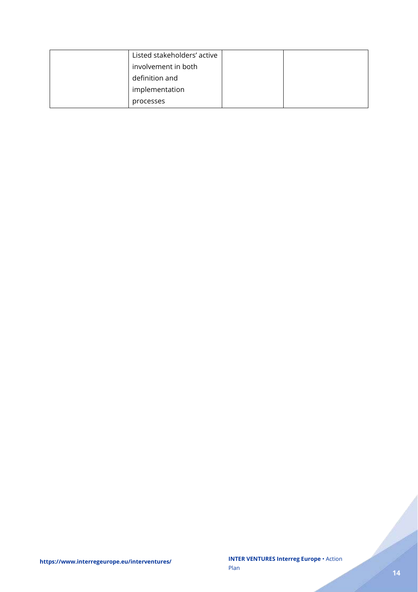| Listed stakeholders' active |  |
|-----------------------------|--|
| involvement in both         |  |
| definition and              |  |
| implementation              |  |
| processes                   |  |

a dhe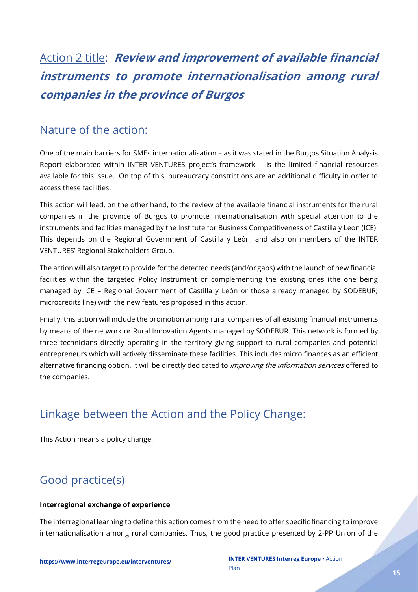## <span id="page-14-0"></span>Action 2 title: **Review and improvement of available financial instruments to promote internationalisation among rural companies in the province of Burgos**

### <span id="page-14-1"></span>Nature of the action:

One of the main barriers for SMEs internationalisation – as it was stated in the Burgos Situation Analysis Report elaborated within INTER VENTURES project's framework – is the limited financial resources available for this issue. On top of this, bureaucracy constrictions are an additional difficulty in order to access these facilities.

This action will lead, on the other hand, to the review of the available financial instruments for the rural companies in the province of Burgos to promote internationalisation with special attention to the instruments and facilities managed by the Institute for Business Competitiveness of Castilla y Leon (ICE). This depends on the Regional Government of Castilla y León, and also on members of the INTER VENTURES' Regional Stakeholders Group.

The action will also target to provide for the detected needs (and/or gaps) with the launch of new financial facilities within the targeted Policy Instrument or complementing the existing ones (the one being managed by ICE – Regional Government of Castilla y León or those already managed by SODEBUR; microcredits line) with the new features proposed in this action.

Finally, this action will include the promotion among rural companies of all existing financial instruments by means of the network or Rural Innovation Agents managed by SODEBUR. This network is formed by three technicians directly operating in the territory giving support to rural companies and potential entrepreneurs which will actively disseminate these facilities. This includes micro finances as an efficient alternative financing option. It will be directly dedicated to *improving the information services* offered to the companies.

## <span id="page-14-2"></span>Linkage between the Action and the Policy Change:

This Action means a policy change.

## <span id="page-14-3"></span>Good practice(s)

### **Interregional exchange of experience**

The interregional learning to define this action comes from the need to offer specific financing to improve internationalisation among rural companies. Thus, the good practice presented by 2-PP Union of the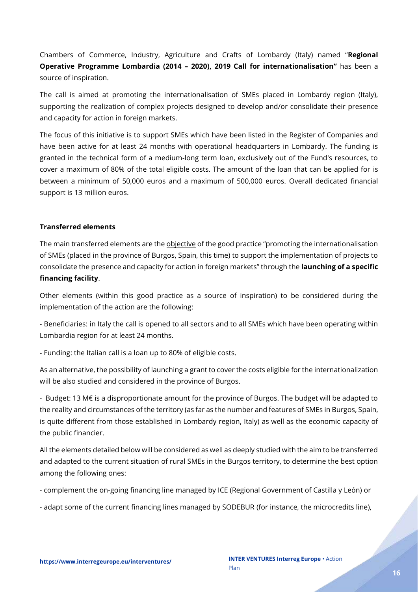Chambers of Commerce, Industry, Agriculture and Crafts of Lombardy (Italy) named "**Regional Operative Programme Lombardia (2014 – 2020), 2019 Call for internationalisation"** has been a source of inspiration.

The call is aimed at promoting the internationalisation of SMEs placed in Lombardy region (Italy), supporting the realization of complex projects designed to develop and/or consolidate their presence and capacity for action in foreign markets.

The focus of this initiative is to support SMEs which have been listed in the Register of Companies and have been active for at least 24 months with operational headquarters in Lombardy. The funding is granted in the technical form of a medium-long term loan, exclusively out of the Fund's resources, to cover a maximum of 80% of the total eligible costs. The amount of the loan that can be applied for is between a minimum of 50,000 euros and a maximum of 500,000 euros. Overall dedicated financial support is 13 million euros.

### **Transferred elements**

The main transferred elements are the *objective* of the good practice "promoting the internationalisation of SMEs (placed in the province of Burgos, Spain, this time) to support the implementation of projects to consolidate the presence and capacity for action in foreign markets" through the **launching of a specific financing facility**.

Other elements (within this good practice as a source of inspiration) to be considered during the implementation of the action are the following:

- Beneficiaries: in Italy the call is opened to all sectors and to all SMEs which have been operating within Lombardia region for at least 24 months.

- Funding: the Italian call is a loan up to 80% of eligible costs.

As an alternative, the possibility of launching a grant to cover the costs eligible for the internationalization will be also studied and considered in the province of Burgos.

- Budget: 13 M€ is a disproportionate amount for the province of Burgos. The budget will be adapted to the reality and circumstances of the territory (as far as the number and features of SMEs in Burgos, Spain, is quite different from those established in Lombardy region, Italy) as well as the economic capacity of the public financier.

All the elements detailed below will be considered as well as deeply studied with the aim to be transferred and adapted to the current situation of rural SMEs in the Burgos territory, to determine the best option among the following ones:

- complement the on-going financing line managed by ICE (Regional Government of Castilla y León) or

- adapt some of the current financing lines managed by SODEBUR (for instance, the microcredits line),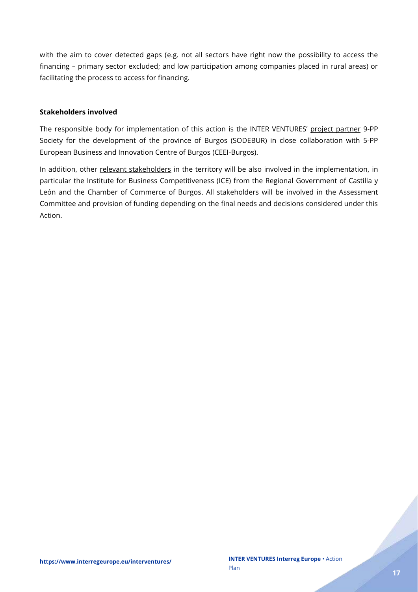with the aim to cover detected gaps (e.g. not all sectors have right now the possibility to access the financing – primary sector excluded; and low participation among companies placed in rural areas) or facilitating the process to access for financing.

#### **Stakeholders involved**

The responsible body for implementation of this action is the INTER VENTURES' project partner 9-PP Society for the development of the province of Burgos (SODEBUR) in close collaboration with 5-PP European Business and Innovation Centre of Burgos (CEEI-Burgos).

In addition, other relevant stakeholders in the territory will be also involved in the implementation, in particular the Institute for Business Competitiveness (ICE) from the Regional Government of Castilla y León and the Chamber of Commerce of Burgos. All stakeholders will be involved in the Assessment Committee and provision of funding depending on the final needs and decisions considered under this Action.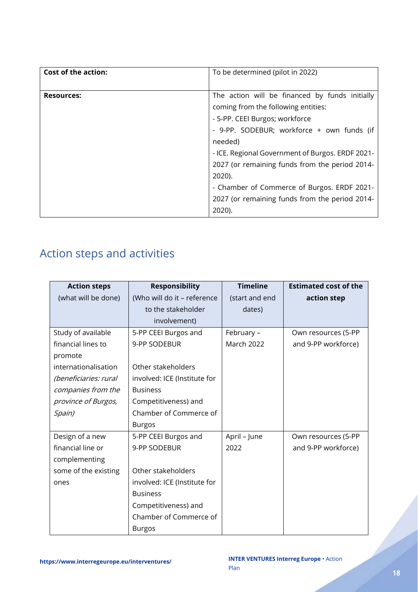| <b>Cost of the action:</b> | To be determined (pilot in 2022)                 |  |  |
|----------------------------|--------------------------------------------------|--|--|
|                            |                                                  |  |  |
| <b>Resources:</b>          | The action will be financed by funds initially   |  |  |
|                            | coming from the following entities:              |  |  |
|                            | - 5-PP. CEEI Burgos; workforce                   |  |  |
|                            | - 9-PP. SODEBUR; workforce + own funds (if       |  |  |
|                            | needed)                                          |  |  |
|                            | - ICE. Regional Government of Burgos. ERDF 2021- |  |  |
|                            | 2027 (or remaining funds from the period 2014-   |  |  |
|                            | 2020).                                           |  |  |
|                            | - Chamber of Commerce of Burgos. ERDF 2021-      |  |  |
|                            | 2027 (or remaining funds from the period 2014-   |  |  |
|                            | 2020).                                           |  |  |

## <span id="page-17-0"></span>Action steps and activities

| <b>Action steps</b>   | <b>Responsibility</b>        | <b>Timeline</b>   | <b>Estimated cost of the</b> |
|-----------------------|------------------------------|-------------------|------------------------------|
| (what will be done)   | (Who will do it - reference  | (start and end    | action step                  |
|                       | to the stakeholder           | dates)            |                              |
|                       | involvement)                 |                   |                              |
| Study of available    | 5-PP CEEI Burgos and         | February -        | Own resources (5-PP          |
| financial lines to    | 9-PP SODEBUR                 | <b>March 2022</b> | and 9-PP workforce)          |
| promote               |                              |                   |                              |
| internationalisation  | Other stakeholders           |                   |                              |
| (beneficiaries: rural | involved: ICE (Institute for |                   |                              |
| companies from the    | <b>Business</b>              |                   |                              |
| province of Burgos,   | Competitiveness) and         |                   |                              |
| Spain)                | Chamber of Commerce of       |                   |                              |
|                       | <b>Burgos</b>                |                   |                              |
| Design of a new       | 5-PP CEEI Burgos and         | April - June      | Own resources (5-PP          |
| financial line or     | 9-PP SODEBUR                 | 2022              | and 9-PP workforce)          |
| complementing         |                              |                   |                              |
| some of the existing  | Other stakeholders           |                   |                              |
| ones                  | involved: ICE (Institute for |                   |                              |
|                       | <b>Business</b>              |                   |                              |
|                       | Competitiveness) and         |                   |                              |
|                       | Chamber of Commerce of       |                   |                              |
|                       | <b>Burgos</b>                |                   |                              |

e de de la partida de la partida de la partida de la partida de la partida de la partida de la partida de la p<br>La partida de la partida de la partida de la partida de la partida de la partida de la partida de la partida d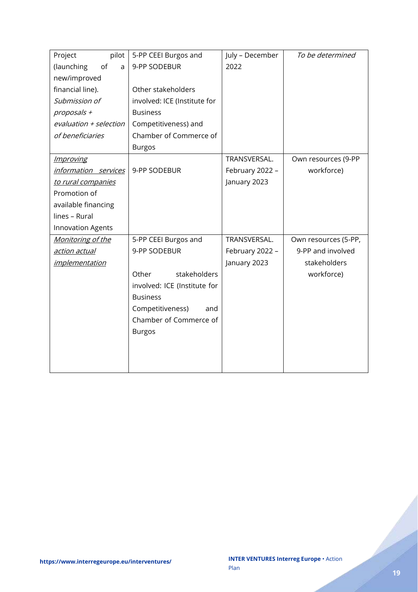| Project<br>pilot         | 5-PP CEEI Burgos and         | July - December | To be determined     |
|--------------------------|------------------------------|-----------------|----------------------|
| of<br>(launching<br>a    | 9-PP SODEBUR                 | 2022            |                      |
| new/improved             |                              |                 |                      |
| financial line).         | Other stakeholders           |                 |                      |
| Submission of            | involved: ICE (Institute for |                 |                      |
| proposals +              | <b>Business</b>              |                 |                      |
| evaluation + selection   | Competitiveness) and         |                 |                      |
| of beneficiaries         | Chamber of Commerce of       |                 |                      |
|                          | <b>Burgos</b>                |                 |                      |
| <i>Improving</i>         |                              | TRANSVERSAL.    | Own resources (9-PP  |
| information services     | 9-PP SODEBUR                 | February 2022 - | workforce)           |
| to rural companies       |                              | January 2023    |                      |
| Promotion of             |                              |                 |                      |
| available financing      |                              |                 |                      |
| lines - Rural            |                              |                 |                      |
| <b>Innovation Agents</b> |                              |                 |                      |
| Monitoring of the        | 5-PP CEEI Burgos and         | TRANSVERSAL.    | Own resources (5-PP, |
| <u>action actual</u>     | 9-PP SODEBUR                 | February 2022 - | 9-PP and involved    |
| <i>implementation</i>    |                              | January 2023    | stakeholders         |
|                          | stakeholders<br>Other        |                 | workforce)           |
|                          | involved: ICE (Institute for |                 |                      |
|                          | <b>Business</b>              |                 |                      |
|                          | Competitiveness)<br>and      |                 |                      |
|                          | Chamber of Commerce of       |                 |                      |
|                          | <b>Burgos</b>                |                 |                      |
|                          |                              |                 |                      |
|                          |                              |                 |                      |
|                          |                              |                 |                      |

e de la partida de la caracción de la caracción de la caracción de la caracción de la caracción de la caracció<br>La caracción de la caracción de la caracción de la caracción de la caracción de la caracción de la caracción d